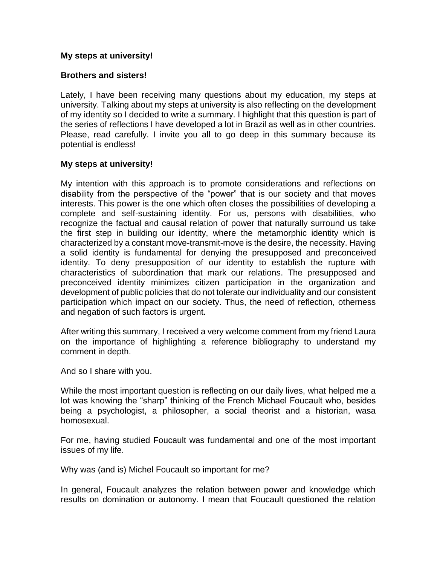# **My steps at university!**

## **Brothers and sisters!**

Lately, I have been receiving many questions about my education, my steps at university. Talking about my steps at university is also reflecting on the development of my identity so I decided to write a summary. I highlight that this question is part of the series of reflections I have developed a lot in Brazil as well as in other countries. Please, read carefully. I invite you all to go deep in this summary because its potential is endless!

## **My steps at university!**

My intention with this approach is to promote considerations and reflections on disability from the perspective of the "power" that is our society and that moves interests. This power is the one which often closes the possibilities of developing a complete and self-sustaining identity. For us, persons with disabilities, who recognize the factual and causal relation of power that naturally surround us take the first step in building our identity, where the metamorphic identity which is characterized by a constant move-transmit-move is the desire, the necessity. Having a solid identity is fundamental for denying the presupposed and preconceived identity. To deny presupposition of our identity to establish the rupture with characteristics of subordination that mark our relations. The presupposed and preconceived identity minimizes citizen participation in the organization and development of public policies that do not tolerate our individuality and our consistent participation which impact on our society. Thus, the need of reflection, otherness and negation of such factors is urgent.

After writing this summary, I received a very welcome comment from my friend Laura on the importance of highlighting a reference bibliography to understand my comment in depth.

And so I share with you.

While the most important question is reflecting on our daily lives, what helped me a lot was knowing the "sharp" thinking of the French Michael Foucault who, besides being a psychologist, a philosopher, a social theorist and a historian, wasa homosexual.

For me, having studied Foucault was fundamental and one of the most important issues of my life.

Why was (and is) Michel Foucault so important for me?

In general, Foucault analyzes the relation between power and knowledge which results on domination or autonomy. I mean that Foucault questioned the relation